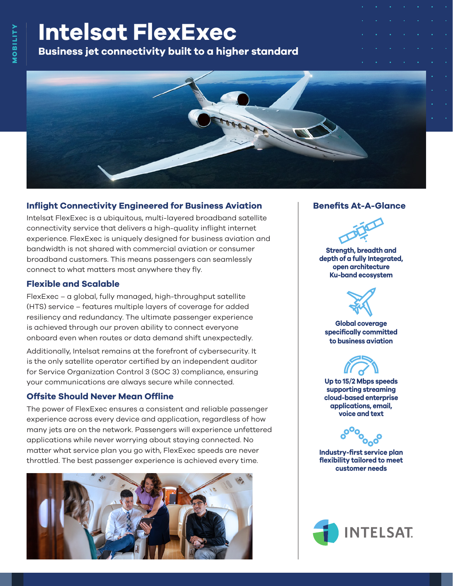# **Intelsat FlexExec**

**Business jet connectivity built to a higher standard**



## **Inflight Connectivity Engineered for Business Aviation**

Intelsat FlexExec is a ubiquitous, multi-layered broadband satellite connectivity service that delivers a high-quality inflight internet experience. FlexExec is uniquely designed for business aviation and bandwidth is not shared with commercial aviation or consumer broadband customers. This means passengers can seamlessly connect to what matters most anywhere they fly.

## **Flexible and Scalable**

FlexExec – a global, fully managed, high-throughput satellite (HTS) service – features multiple layers of coverage for added resiliency and redundancy. The ultimate passenger experience is achieved through our proven ability to connect everyone onboard even when routes or data demand shift unexpectedly.

Additionally, Intelsat remains at the forefront of cybersecurity. It is the only satellite operator certified by an independent auditor for Service Organization Control 3 (SOC 3) compliance, ensuring your communications are always secure while connected.

# **Offsite Should Never Mean Offline**

The power of FlexExec ensures a consistent and reliable passenger experience across every device and application, regardless of how many jets are on the network. Passengers will experience unfettered applications while never worrying about staying connected. No matter what service plan you go with, FlexExec speeds are never throttled. The best passenger experience is achieved every time.



## **Benefits At-A-Glance**



**Strength, breadth and depth of a fully Integrated, open architecture Ku-band ecosystem**



**Global coverage specifically committed to business aviation**



**Up to 15/2 Mbps speeds supporting streaming cloud-based enterprise applications, email, voice and text**



**Industry-first service plan flexibility tailored to meet customer needs**